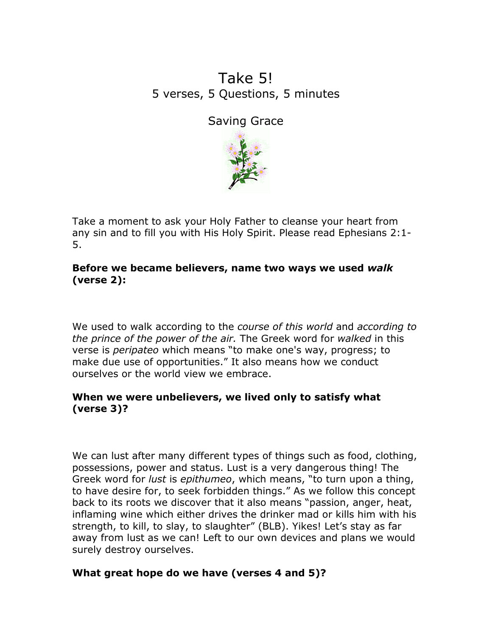# Take 5! 5 verses, 5 Questions, 5 minutes

Saving Grace



Take a moment to ask your Holy Father to cleanse your heart from any sin and to fill you with His Holy Spirit. Please read Ephesians 2:1- 5.

Before we became believers, name two ways we used walk (verse 2):

We used to walk according to the *course of this world* and *according to* the prince of the power of the air. The Greek word for walked in this verse is *peripateo* which means "to make one's way, progress; to make due use of opportunities." It also means how we conduct ourselves or the world view we embrace.

## When we were unbelievers, we lived only to satisfy what (verse 3)?

We can lust after many different types of things such as food, clothing, possessions, power and status. Lust is a very dangerous thing! The Greek word for *lust* is epithumeo, which means, "to turn upon a thing, to have desire for, to seek forbidden things." As we follow this concept back to its roots we discover that it also means "passion, anger, heat, inflaming wine which either drives the drinker mad or kills him with his strength, to kill, to slay, to slaughter" (BLB). Yikes! Let's stay as far away from lust as we can! Left to our own devices and plans we would surely destroy ourselves.

## What great hope do we have (verses 4 and 5)?